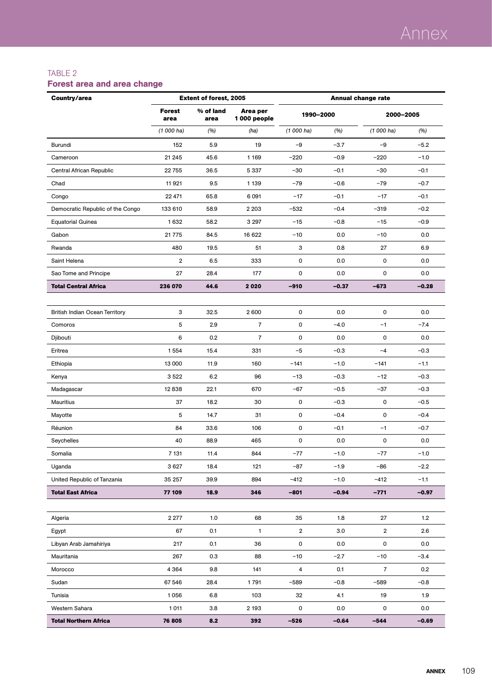## TABLE 2

| Country/area                          |                | <b>Extent of forest, 2005</b> |                         | Annual change rate |         |                |         |  |
|---------------------------------------|----------------|-------------------------------|-------------------------|--------------------|---------|----------------|---------|--|
|                                       | Forest<br>area | % of land<br>area             | Area per<br>1000 people | 1990-2000          |         | 2000-2005      |         |  |
|                                       | $(1000)$ ha)   | (%)                           | (ha)                    | $(1000)$ ha)       | (%)     | $(1000)$ ha)   | (%)     |  |
| Burundi                               | 152            | 5.9                           | 19                      | $-9$               | $-3.7$  | -9             | $-5.2$  |  |
| Cameroon                              | 21 245         | 45.6                          | 1 1 6 9                 | $-220$             | $-0.9$  | $-220$         | $-1.0$  |  |
| Central African Republic              | 22 755         | 36.5                          | 5 3 3 7                 | $-30$              | $-0.1$  | $-30$          | $-0.1$  |  |
| Chad                                  | 11921          | 9.5                           | 1 1 3 9                 | $-79$              | $-0.6$  | $-79$          | $-0.7$  |  |
| Congo                                 | 22 471         | 65.8                          | 6 0 91                  | -17                | $-0.1$  | $-17$          | $-0.1$  |  |
| Democratic Republic of the Congo      | 133 610        | 58.9                          | 2 2 0 3                 | $-532$             | $-0.4$  | $-319$         | $-0.2$  |  |
| <b>Equatorial Guinea</b>              | 1632           | 58.2                          | 3 2 9 7                 | $-15$              | $-0.8$  | $-15$          | $-0.9$  |  |
| Gabon                                 | 21 7 7 5       | 84.5                          | 16 622                  | $-10$              | 0.0     | $-10$          | 0.0     |  |
| Rwanda                                | 480            | 19.5                          | 51                      | 3                  | 0.8     | 27             | 6.9     |  |
| Saint Helena                          | $\overline{2}$ | 6.5                           | 333                     | 0                  | 0.0     | 0              | 0.0     |  |
| Sao Tome and Principe                 | 27             | 28.4                          | 177                     | 0                  | 0.0     | 0              | 0.0     |  |
| <b>Total Central Africa</b>           | 236 070        | 44.6                          | 2020                    | $-910$             | $-0.37$ | $-673$         | $-0.28$ |  |
|                                       |                |                               |                         |                    |         |                |         |  |
| <b>British Indian Ocean Territory</b> | 3              | 32.5                          | 2600                    | 0                  | 0.0     | 0              | 0.0     |  |
| Comoros                               | 5              | 2.9                           | $\overline{7}$          | 0                  | $-4.0$  | $-1$           | $-7.4$  |  |
| Djibouti                              | 6              | 0.2                           | $\overline{7}$          | 0                  | 0.0     | 0              | 0.0     |  |
| Eritrea                               | 1554           | 15.4                          | 331                     | $-5$               | $-0.3$  | $-4$           | $-0.3$  |  |
| Ethiopia                              | 13 000         | 11.9                          | 160                     | $-141$             | $-1.0$  | $-141$         | $-1.1$  |  |
| Kenya                                 | 3522           | 6.2                           | 96                      | $-13$              | $-0.3$  | $-12$          | $-0.3$  |  |
| Madagascar                            | 12838          | 22.1                          | 670                     | $-67$              | $-0.5$  | $-37$          | $-0.3$  |  |
| Mauritius                             | 37             | 18.2                          | 30                      | 0                  | $-0.3$  | 0              | $-0.5$  |  |
| Mayotte                               | 5              | 14.7                          | 31                      | 0                  | $-0.4$  | 0              | $-0.4$  |  |
| Réunion                               | 84             | 33.6                          | 106                     | 0                  | $-0.1$  | $-1$           | $-0.7$  |  |
| Seychelles                            | 40             | 88.9                          | 465                     | 0                  | 0.0     | 0              | 0.0     |  |
| Somalia                               | 7 1 3 1        | 11.4                          | 844                     | $-77$              | $-1.0$  | $-77$          | $-1.0$  |  |
| Uganda                                | 3627           | 18.4                          | 121                     | -87                | $-1.9$  | -86            | $-2.2$  |  |
| United Republic of Tanzania           | 35 257         | 39.9                          | 894                     | $-412$             | $-1.0$  | $-412$         | $-1.1$  |  |
| <b>Total East Africa</b>              | 77 109         | 18.9                          | 346                     | $-801$             | $-0.94$ | $-771$         | $-0.97$ |  |
|                                       |                |                               |                         |                    |         |                |         |  |
| Algeria                               | 2 2 7 7        | 1.0                           | 68                      | 35                 | 1.8     | 27             | 1.2     |  |
| Egypt                                 | 67             | 0.1                           | $\mathbf{1}$            | $\overline{2}$     | 3.0     | $\overline{2}$ | 2.6     |  |
| Libvan Arab Jamahiriva                | 217            | 0.1                           | 36                      | 0                  | 0.0     | 0              | 0.0     |  |
| Mauritania                            | 267            | 0.3                           | 88                      | $-10$              | $-2.7$  | $-10$          | $-3.4$  |  |
| Morocco                               | 4 3 6 4        | 9.8                           | 141                     | 4                  | 0.1     | $\overline{7}$ | 0.2     |  |
| Sudan                                 | 67 546         | 28.4                          | 1791                    | -589               | $-0.8$  | -589           | $-0.8$  |  |
| Tunisia                               | 1056           | 6.8                           | 103                     | 32                 | 4.1     | 19             | 1.9     |  |
| Western Sahara                        | 1011           | 3.8                           | 2 1 9 3                 | 0                  | $0.0\,$ | 0              | 0.0     |  |
| <b>Total Northern Africa</b>          | 76 805         | 8.2                           | 392                     | $-526$             | $-0.64$ | $-544$         | $-0.69$ |  |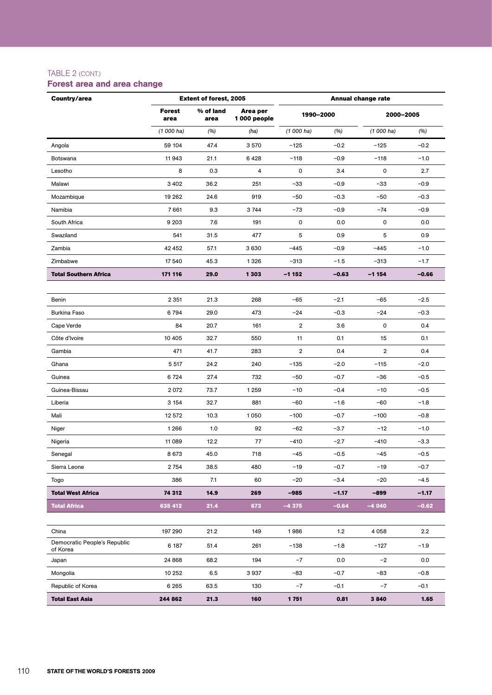### TABLE 2 (cont.)

| Country/area                             |                | <b>Extent of forest, 2005</b> |                         |                | <b>Annual change rate</b> |                |         |  |
|------------------------------------------|----------------|-------------------------------|-------------------------|----------------|---------------------------|----------------|---------|--|
|                                          | Forest<br>area | % of land<br>area             | Area per<br>1000 people | 1990-2000      |                           | 2000-2005      |         |  |
|                                          | $(1000)$ ha)   | (%)                           | (ha)                    | $(1000)$ ha)   | (%)                       | $(1000)$ ha)   | (%)     |  |
| Angola                                   | 59 104         | 47.4                          | 3570                    | $-125$         | $-0.2$                    | $-125$         | $-0.2$  |  |
| Botswana                                 | 11943          | 21.1                          | 6428                    | $-118$         | $-0.9$                    | $-118$         | $-1.0$  |  |
| Lesotho                                  | 8              | 0.3                           | 4                       | 0              | 3.4                       | 0              | 2.7     |  |
| Malawi                                   | 3 4 0 2        | 36.2                          | 251                     | $-33$          | $-0.9$                    | $-33$          | $-0.9$  |  |
| Mozambique                               | 19 262         | 24.6                          | 919                     | -50            | $-0.3$                    | $-50$          | $-0.3$  |  |
| Namibia                                  | 7661           | 9.3                           | 3744                    | $-73$          | $-0.9$                    | $-74$          | $-0.9$  |  |
| South Africa                             | 9 2 0 3        | 7.6                           | 191                     | 0              | 0.0                       | 0              | 0.0     |  |
| Swaziland                                | 541            | 31.5                          | 477                     | 5              | 0.9                       | 5              | 0.9     |  |
| Zambia                                   | 42 452         | 57.1                          | 3630                    | $-445$         | $-0.9$                    | $-445$         | $-1.0$  |  |
| Zimbabwe                                 | 17 540         | 45.3                          | 1326                    | -313           | $-1.5$                    | $-313$         | $-1.7$  |  |
| <b>Total Southern Africa</b>             | 171 116        | 29.0                          | 1 3 0 3                 | $-1152$        | $-0.63$                   | $-1154$        | $-0.66$ |  |
|                                          |                |                               |                         |                |                           |                |         |  |
| Benin                                    | 2 3 5 1        | 21.3                          | 268                     | -65            | $-2.1$                    | $-65$          | $-2.5$  |  |
| <b>Burkina Faso</b>                      | 6794           | 29.0                          | 473                     | $-24$          | $-0.3$                    | $-24$          | $-0.3$  |  |
| Cape Verde                               | 84             | 20.7                          | 161                     | 2              | 3.6                       | 0              | 0.4     |  |
| Côte d'Ivoire                            | 10 405         | 32.7                          | 550                     | 11             | 0.1                       | 15             | 0.1     |  |
| Gambia                                   | 471            | 41.7                          | 283                     | $\overline{2}$ | 0.4                       | $\overline{2}$ | 0.4     |  |
| Ghana                                    | 5 5 1 7        | 24.2                          | 240                     | $-135$         | $-2.0$                    | $-115$         | $-2.0$  |  |
| Guinea                                   | 6724           | 27.4                          | 732                     | $-50$          | $-0.7$                    | -36            | $-0.5$  |  |
| Guinea-Bissau                            | 2072           | 73.7                          | 1 2 5 9                 | $-10$          | $-0.4$                    | $-10$          | $-0.5$  |  |
| Liberia                                  | 3 1 5 4        | 32.7                          | 881                     | -60            | $-1.6$                    | -60            | $-1.8$  |  |
| Mali                                     | 12 572         | 10.3                          | 1050                    | $-100$         | $-0.7$                    | $-100$         | $-0.8$  |  |
| Niger                                    | 1 2 6 6        | 1.0                           | 92                      | -62            | $-3.7$                    | $-12$          | $-1.0$  |  |
| Nigeria                                  | 11 089         | 12.2                          | 77                      | $-410$         | $-2.7$                    | $-410$         | $-3.3$  |  |
| Senegal                                  | 8673           | 45.0                          | 718                     | $-45$          | $-0.5$                    | $-45$          | $-0.5$  |  |
| Sierra Leone                             | 2754           | 38.5                          | 480                     | $-19$          | $-0.7$                    | $-19$          | $-0.7$  |  |
| Togo                                     | 386            | 7.1                           | 60                      | $-20$          | $-3.4$                    | $-20$          | $-4.5$  |  |
| <b>Total West Africa</b>                 | 74 312         | 14.9                          | 269                     | -985           | $-1.17$                   | -899           | $-1.17$ |  |
| <b>Total Africa</b>                      | 635 412        | 21.4                          | 673                     | $-4375$        | $-0.64$                   | $-4040$        | $-0.62$ |  |
|                                          |                |                               |                         |                |                           |                |         |  |
| China                                    | 197 290        | 21.2                          | 149                     | 1986           | 1.2                       | 4 0 5 8        | 2.2     |  |
| Democratic People's Republic<br>of Korea | 6 187          | 51.4                          | 261                     | $-138$         | $-1.8$                    | $-127$         | $-1.9$  |  |
| Japan                                    | 24 8 68        | 68.2                          | 194                     | $-7$           | 0.0                       | $-2$           | 0.0     |  |
| Mongolia                                 | 10 252         | 6.5                           | 3937                    | -83            | $-0.7$                    | -83            | $-0.8$  |  |
| Republic of Korea                        | 6 2 6 5        | 63.5                          | 130                     | $-7$           | $-0.1$                    | $-7$           | $-0.1$  |  |
| <b>Total East Asia</b>                   | 244 862        | 21.3                          | 160                     | 1751           | 0.81                      | 3840           | 1.65    |  |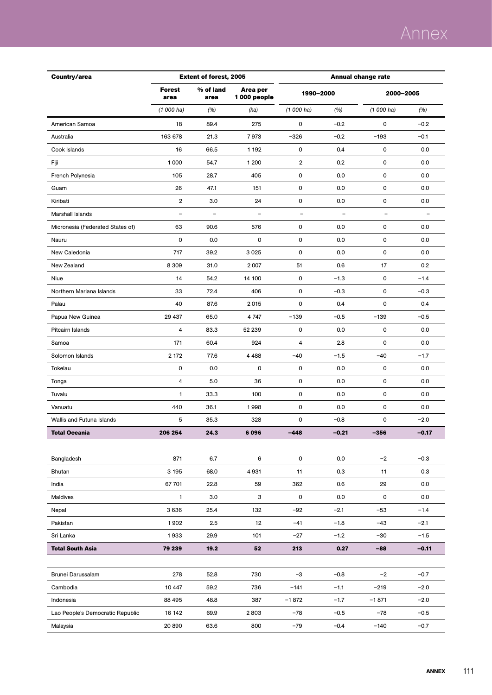# Annex

| Country/area                     |                          | <b>Extent of forest, 2005</b> |                         |                | <b>Annual change rate</b> |                          |           |  |
|----------------------------------|--------------------------|-------------------------------|-------------------------|----------------|---------------------------|--------------------------|-----------|--|
|                                  | <b>Forest</b><br>area    | % of land<br>area             | Area per<br>1000 people |                | 1990-2000                 |                          | 2000-2005 |  |
|                                  | $(1000)$ ha)             | (%)                           | (ha)                    | $(1000)$ ha)   | (%)                       | $(1000)$ ha)             | (%)       |  |
| American Samoa                   | 18                       | 89.4                          | 275                     | 0              | $-0.2$                    | 0                        | $-0.2$    |  |
| Australia                        | 163 678                  | 21.3                          | 7973                    | $-326$         | $-0.2$                    | -193                     | $-0.1$    |  |
| Cook Islands                     | 16                       | 66.5                          | 1 1 9 2                 | 0              | 0.4                       | 0                        | 0.0       |  |
| Fiji                             | 1 0 0 0                  | 54.7                          | 1 200                   | $\overline{2}$ | 0.2                       | 0                        | 0.0       |  |
| French Polynesia                 | 105                      | 28.7                          | 405                     | 0              | 0.0                       | 0                        | 0.0       |  |
| Guam                             | 26                       | 47.1                          | 151                     | 0              | 0.0                       | 0                        | 0.0       |  |
| Kiribati                         | 2                        | 3.0                           | 24                      | 0              | 0.0                       | 0                        | 0.0       |  |
| Marshall Islands                 | $\overline{\phantom{0}}$ | $\overline{\phantom{0}}$      |                         |                |                           | $\overline{\phantom{0}}$ |           |  |
| Micronesia (Federated States of) | 63                       | 90.6                          | 576                     | 0              | 0.0                       | 0                        | 0.0       |  |
| Nauru                            | 0                        | 0.0                           | 0                       | 0              | 0.0                       | 0                        | 0.0       |  |
| New Caledonia                    | 717                      | 39.2                          | 3025                    | 0              | 0.0                       | 0                        | 0.0       |  |
| New Zealand                      | 8 3 0 9                  | 31.0                          | 2 0 0 7                 | 51             | 0.6                       | 17                       | 0.2       |  |
| Niue                             | 14                       | 54.2                          | 14 100                  | 0              | $-1.3$                    | 0                        | $-1.4$    |  |
| Northern Mariana Islands         | 33                       | 72.4                          | 406                     | 0              | $-0.3$                    | 0                        | $-0.3$    |  |
| Palau                            | 40                       | 87.6                          | 2015                    | 0              | 0.4                       | 0                        | 0.4       |  |
| Papua New Guinea                 | 29 437                   | 65.0                          | 4 7 4 7                 | $-139$         | $-0.5$                    | $-139$                   | $-0.5$    |  |
| Pitcairn Islands                 | 4                        | 83.3                          | 52 239                  | 0              | 0.0                       | 0                        | 0.0       |  |
| Samoa                            | 171                      | 60.4                          | 924                     | 4              | 2.8                       | 0                        | 0.0       |  |
| Solomon Islands                  | 2 172                    | 77.6                          | 4488                    | $-40$          | $-1.5$                    | $-40$                    | $-1.7$    |  |
| Tokelau                          | 0                        | 0.0                           | 0                       | 0              | 0.0                       | 0                        | 0.0       |  |
| Tonga                            | 4                        | 5.0                           | 36                      | 0              | 0.0                       | 0                        | 0.0       |  |
| Tuvalu                           | 1                        | 33.3                          | 100                     | 0              | 0.0                       | 0                        | 0.0       |  |
| Vanuatu                          | 440                      | 36.1                          | 1998                    | 0              | 0.0                       | 0                        | 0.0       |  |
| Wallis and Futuna Islands        | 5                        | 35.3                          | 328                     | 0              | $-0.8$                    | 0                        | $-2.0$    |  |
| <b>Total Oceania</b>             | 206 254                  | 24.3                          | 6096                    | $-448$         | $-0.21$                   | $-356$                   | $-0.17$   |  |
|                                  |                          |                               |                         |                |                           |                          |           |  |
| Bangladesh                       | 871                      | 6.7                           | 6                       | 0              | 0.0                       | $-2$                     | $-0.3$    |  |
| Bhutan                           | 3 1 9 5                  | 68.0                          | 4931                    | 11             | 0.3                       | 11                       | 0.3       |  |
| India                            | 67 701                   | 22.8                          | 59                      | 362            | 0.6                       | 29                       | 0.0       |  |
| <b>Maldives</b>                  | $\mathbf{1}$             | 3.0                           | 3                       | 0              | 0.0                       | 0                        | 0.0       |  |
| Nepal                            | 3636                     | 25.4                          | 132                     | $-92$          | $-2.1$                    | $-53$                    | $-1.4$    |  |
| Pakistan                         | 1902                     | 2.5                           | 12                      | $-41$          | $-1.8$                    | $-43$                    | $-2.1$    |  |
| Sri Lanka                        | 1933                     | 29.9                          | 101                     | $-27$          | $-1.2$                    | $-30$                    | $-1.5$    |  |
| <b>Total South Asia</b>          | 79 239                   | 19.2                          | 52                      | 213            | 0.27                      | -88                      | $-0.11$   |  |
|                                  |                          |                               |                         |                |                           |                          |           |  |
| Brunei Darussalam                | 278                      | 52.8                          | 730                     | $-3$           | $-0.8$                    | $-2$                     | $-0.7$    |  |
| Cambodia                         | 10 447                   | 59.2                          | 736                     | $-141$         | $-1.1$                    | $-219$                   | $-2.0$    |  |
| Indonesia                        | 88 495                   | 48.8                          | 387                     | $-1872$        | $-1.7$                    | $-1871$                  | $-2.0$    |  |
| Lao People's Democratic Republic | 16 142                   | 69.9                          | 2803                    | $-78$          | $-0.5$                    | $-78$                    | $-0.5$    |  |
| Malaysia                         | 20 890                   | 63.6                          | 800                     | -79            | $-0.4$                    | $-140$                   | $-0.7$    |  |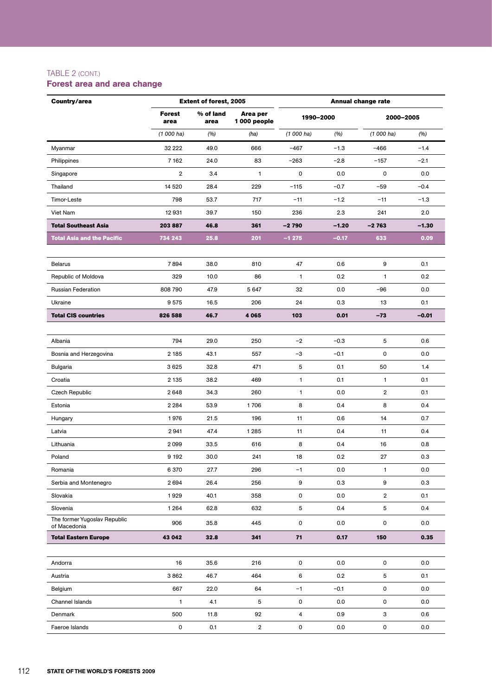#### TABLE 2 (cont.)

| Country/area                                 |                         | <b>Extent of forest, 2005</b> |                         |              | <b>Annual change rate</b> |              |         |  |
|----------------------------------------------|-------------------------|-------------------------------|-------------------------|--------------|---------------------------|--------------|---------|--|
|                                              | Forest<br>area          | % of land<br>area             | Area per<br>1000 people | 1990-2000    |                           | 2000-2005    |         |  |
|                                              | $(1000)$ ha)            | (%)                           | (ha)                    | $(1000)$ ha) | (%)                       | $(1000)$ ha) | (%)     |  |
| Myanmar                                      | 32 222                  | 49.0                          | 666                     | $-467$       | $-1.3$                    | $-466$       | $-1.4$  |  |
| Philippines                                  | 7 1 6 2                 | 24.0                          | 83                      | $-263$       | $-2.8$                    | $-157$       | $-2.1$  |  |
| Singapore                                    | $\overline{\mathbf{2}}$ | 3.4                           | 1                       | 0            | 0.0                       | 0            | 0.0     |  |
| Thailand                                     | 14 5 20                 | 28.4                          | 229                     | $-115$       | $-0.7$                    | -59          | $-0.4$  |  |
| Timor-Leste                                  | 798                     | 53.7                          | 717                     | $-11$        | $-1.2$                    | $-11$        | $-1.3$  |  |
| Viet Nam                                     | 12931                   | 39.7                          | 150                     | 236          | 2.3                       | 241          | 2.0     |  |
| <b>Total Southeast Asia</b>                  | 203 887                 | 46.8                          | 361                     | $-2790$      | $-1.20$                   | $-2763$      | -1.30   |  |
| <b>Total Asia and the Pacific</b>            | 734 243                 | 25.8                          | 201                     | $-1275$      | $-0.17$                   | 633          | 0.09    |  |
|                                              |                         |                               |                         |              |                           |              |         |  |
| <b>Belarus</b>                               | 7894                    | 38.0                          | 810                     | 47           | 0.6                       | 9            | 0.1     |  |
| Republic of Moldova                          | 329                     | 10.0                          | 86                      | 1            | 0.2                       | 1            | 0.2     |  |
| <b>Russian Federation</b>                    | 808 790                 | 47.9                          | 5 6 4 7                 | 32           | 0.0                       | -96          | 0.0     |  |
| Ukraine                                      | 9575                    | 16.5                          | 206                     | 24           | 0.3                       | 13           | 0.1     |  |
| <b>Total CIS countries</b>                   | 826 588                 | 46.7                          | 4 0 6 5                 | 103          | 0.01                      | $-73$        | $-0.01$ |  |
|                                              |                         |                               |                         |              |                           |              |         |  |
| Albania                                      | 794                     | 29.0                          | 250                     | $-2$         | $-0.3$                    | 5            | 0.6     |  |
| Bosnia and Herzegovina                       | 2 1 8 5                 | 43.1                          | 557                     | $-3$         | $-0.1$                    | $\mathbf 0$  | 0.0     |  |
| Bulgaria                                     | 3625                    | 32.8                          | 471                     | 5            | 0.1                       | 50           | 1.4     |  |
| Croatia                                      | 2 1 3 5                 | 38.2                          | 469                     | $\mathbf{1}$ | 0.1                       | $\mathbf{1}$ | 0.1     |  |
| Czech Republic                               | 2648                    | 34.3                          | 260                     | 1            | 0.0                       | 2            | 0.1     |  |
| Estonia                                      | 2 2 8 4                 | 53.9                          | 1706                    | 8            | 0.4                       | 8            | 0.4     |  |
| Hungary                                      | 1976                    | 21.5                          | 196                     | 11           | 0.6                       | 14           | 0.7     |  |
| Latvia                                       | 2941                    | 47.4                          | 1 2 8 5                 | 11           | 0.4                       | 11           | 0.4     |  |
| Lithuania                                    | 2099                    | 33.5                          | 616                     | 8            | 0.4                       | 16           | 0.8     |  |
| Poland                                       | 9 1 9 2                 | 30.0                          | 241                     | 18           | 0.2                       | 27           | 0.3     |  |
| Romania                                      | 6 370                   | 27.7                          | 296                     | $-1$         | 0.0                       | $\mathbf{1}$ | 0.0     |  |
| Serbia and Montenegro                        | 2694                    | 26.4                          | 256                     | 9            | 0.3                       | 9            | 0.3     |  |
| Slovakia                                     | 1929                    | 40.1                          | 358                     | 0            | 0.0                       | 2            | 0.1     |  |
| Slovenia                                     | 1 2 6 4                 | 62.8                          | 632                     | 5            | 0.4                       | 5            | 0.4     |  |
| The former Yugoslav Republic<br>of Macedonia | 906                     | 35.8                          | 445                     | 0            | 0.0                       | 0            | 0.0     |  |
| <b>Total Eastern Europe</b>                  | 43 042                  | 32.8                          | 341                     | 71           | 0.17                      | 150          | 0.35    |  |
|                                              |                         |                               |                         |              |                           |              |         |  |
| Andorra                                      | 16                      | 35.6                          | 216                     | 0            | 0.0                       | 0            | 0.0     |  |
| Austria                                      | 3862                    | 46.7                          | 464                     | 6            | 0.2                       | 5            | 0.1     |  |
| Belgium                                      | 667                     | 22.0                          | 64                      | $-1$         | $-0.1$                    | 0            | 0.0     |  |
| Channel Islands                              | $\mathbf{1}$            | 4.1                           | 5                       | 0            | 0.0                       | 0            | 0.0     |  |
| Denmark                                      | 500                     | 11.8                          | 92                      | 4            | 0.9                       | 3            | 0.6     |  |
| Faeroe Islands                               | 0                       | 0.1                           | $\overline{2}$          | 0            | 0.0                       | 0            | 0.0     |  |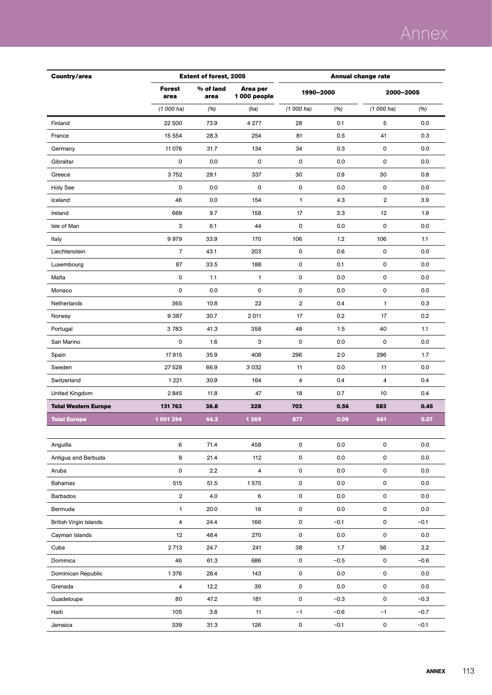# Annex

| Country/area                  | <b>Extent of forest, 2005</b><br><b>Annual change rate</b> |                   |                         |                     |        |                         |        |  |
|-------------------------------|------------------------------------------------------------|-------------------|-------------------------|---------------------|--------|-------------------------|--------|--|
|                               | <b>Forest</b><br>area                                      | % of land<br>area | Area per<br>1000 people | 1990-2000           |        | 2000-2005               |        |  |
|                               | $(1000)$ ha)                                               | (%)               | (ha)                    | $(1000)$ ha)        | (%)    | $(1000)$ ha)            | (%)    |  |
| Finland                       | 22 500                                                     | 73.9              | 4 277                   | 28                  | 0.1    | 5                       | 0.0    |  |
| France                        | 15 554                                                     | 28.3              | 254                     | 81                  | 0.5    | 41                      | 0.3    |  |
| Germany                       | 11 0 76                                                    | 31.7              | 134                     | 34                  | 0.3    | 0                       | 0.0    |  |
| Gibraltar                     | 0                                                          | 0.0               | 0                       | $\mathsf{O}\xspace$ | 0.0    | 0                       | 0.0    |  |
| Greece                        | 3752                                                       | 29.1              | 337                     | 30                  | 0.9    | 30                      | 0.8    |  |
| Holy See                      | 0                                                          | 0.0               | 0                       | $\mathsf 0$         | 0.0    | 0                       | 0.0    |  |
| Iceland                       | 46                                                         | 0.0               | 154                     | $\mathbf{1}$        | 4.3    | $\overline{\mathbf{2}}$ | 3.9    |  |
| Ireland                       | 669                                                        | 9.7               | 158                     | 17                  | 3.3    | 12                      | 1.9    |  |
| Isle of Man                   | 3                                                          | 6.1               | 44                      | 0                   | 0.0    | 0                       | 0.0    |  |
| Italy                         | 9979                                                       | 33.9              | 170                     | 106                 | 1.2    | 106                     | 1.1    |  |
| Liechtenstein                 | $\overline{7}$                                             | 43.1              | 203                     | 0                   | 0.6    | 0                       | 0.0    |  |
| Luxembourg                    | 87                                                         | 33.5              | 188                     | 0                   | 0.1    | 0                       | 0.0    |  |
| Malta                         | 0                                                          | $1.1$             | 1                       | 0                   | 0.0    | 0                       | 0.0    |  |
| Monaco                        | 0                                                          | 0.0               | 0                       | 0                   | 0.0    | 0                       | 0.0    |  |
| <b>Netherlands</b>            | 365                                                        | 10.8              | 22                      | $\overline{2}$      | 0.4    | $\mathbf{1}$            | 0.3    |  |
| Norway                        | 9 3 8 7                                                    | 30.7              | 2011                    | 17                  | 0.2    | 17                      | 0.2    |  |
| Portugal                      | 3783                                                       | 41.3              | 358                     | 48                  | 1.5    | 40                      | 1.1    |  |
| San Marino                    | 0                                                          | 1.6               | 3                       | $\mathsf 0$         | 0.0    | 0                       | 0.0    |  |
| Spain                         | 17915                                                      | 35.9              | 408                     | 296                 | 2.0    | 296                     | 1.7    |  |
| Sweden                        | 27 5 28                                                    | 66.9              | 3032                    | 11                  | 0.0    | 11                      | 0.0    |  |
| Switzerland                   | 1 2 2 1                                                    | 30.9              | 164                     | 4                   | 0.4    | 4                       | 0.4    |  |
| United Kingdom                | 2845                                                       | 11.8              | 47                      | 18                  | 0.7    | 10                      | 0.4    |  |
| <b>Total Western Europe</b>   | 131 763                                                    | 36.8              | 328                     | 703                 | 0.56   | 583                     | 0.45   |  |
| <b>Total Europe</b>           | 1 001 394                                                  | 44.3              | 1369                    | 877                 | 0.09   | 661                     | 0.07   |  |
|                               |                                                            |                   |                         |                     |        |                         |        |  |
| Anguilla                      | 6                                                          | 71.4              | 458                     | 0                   | 0.0    | 0                       | 0.0    |  |
| Antigua and Barbuda           | 9                                                          | 21.4              | 112                     | 0                   | 0.0    | 0                       | 0.0    |  |
| Aruba                         | 0                                                          | 2.2               | $\overline{\mathbf{4}}$ | 0                   | 0.0    | 0                       | 0.0    |  |
| Bahamas                       | 515                                                        | 51.5              | 1575                    | 0                   | 0.0    | 0                       | 0.0    |  |
| <b>Barbados</b>               | $\overline{\mathbf{c}}$                                    | 4.0               | 6                       | 0                   | 0.0    | 0                       | 0.0    |  |
| Bermuda                       | $\mathbf{1}$                                               | 20.0              | 16                      | 0                   | 0.0    | 0                       | 0.0    |  |
| <b>British Virgin Islands</b> | 4                                                          | 24.4              | 166                     | 0                   | $-0.1$ | 0                       | $-0.1$ |  |
| Cayman Islands                | 12                                                         | 48.4              | 270                     | 0                   | 0.0    | 0                       | 0.0    |  |
| Cuba                          | 2713                                                       | 24.7              | 241                     | 38                  | 1.7    | 56                      | 2.2    |  |
| Dominica                      | 46                                                         | 61.3              | 686                     | 0                   | $-0.5$ | 0                       | $-0.6$ |  |
| Dominican Republic            | 1376                                                       | 28.4              | 143                     | 0                   | 0.0    | 0                       | 0.0    |  |
| Grenada                       | 4                                                          | 12.2              | 39                      | 0                   | 0.0    | 0                       | 0.0    |  |
| Guadeloupe                    | 80                                                         | 47.2              | 181                     | 0                   | $-0.3$ | 0                       | $-0.3$ |  |
| Haiti                         | 105                                                        | 3.8               | 11                      | $-1$                | $-0.6$ | $-1$                    | $-0.7$ |  |
| Jamaica                       | 339                                                        | 31.3              | 126                     | 0                   | $-0.1$ | 0                       | $-0.1$ |  |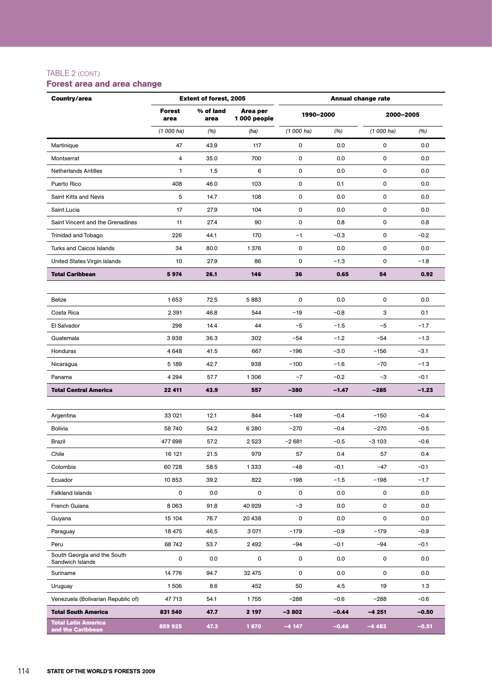### TABLE 2 (cont.)

| Country/area                                    |                       | <b>Extent of forest, 2005</b> |                         |              | <b>Annual change rate</b> |              |         |  |  |
|-------------------------------------------------|-----------------------|-------------------------------|-------------------------|--------------|---------------------------|--------------|---------|--|--|
|                                                 | <b>Forest</b><br>area | % of land<br>area             | Area per<br>1000 people | 1990-2000    |                           | 2000-2005    |         |  |  |
|                                                 | $(1000)$ ha)          | (%)                           | (ha)                    | $(1000)$ ha) | (%)                       | $(1000)$ ha) | (%)     |  |  |
| Martinique                                      | 47                    | 43.9                          | 117                     | 0            | 0.0                       | 0            | 0.0     |  |  |
| Montserrat                                      | 4                     | 35.0                          | 700                     | 0            | 0.0                       | 0            | 0.0     |  |  |
| <b>Netherlands Antilles</b>                     | $\mathbf{1}$          | 1.5                           | 6                       | $\mathbf 0$  | 0.0                       | $\mathbf 0$  | 0.0     |  |  |
| Puerto Rico                                     | 408                   | 46.0                          | 103                     | 0            | 0.1                       | 0            | 0.0     |  |  |
| Saint Kitts and Nevis                           | 5                     | 14.7                          | 108                     | 0            | 0.0                       | 0            | $0.0\,$ |  |  |
| Saint Lucia                                     | 17                    | 27.9                          | 104                     | 0            | 0.0                       | $\mathsf 0$  | $0.0\,$ |  |  |
| Saint Vincent and the Grenadines                | 11                    | 27.4                          | 90                      | 0            | 0.8                       | 0            | 0.8     |  |  |
| Trinidad and Tobago                             | 226                   | 44.1                          | 170                     | $-1$         | $-0.3$                    | $\mathbf 0$  | $-0.2$  |  |  |
| <b>Turks and Caicos Islands</b>                 | 34                    | 80.0                          | 1376                    | 0            | 0.0                       | 0            | 0.0     |  |  |
| United States Virgin Islands                    | 10                    | 27.9                          | 86                      | $\mathbf 0$  | $-1.3$                    | 0            | $-1.8$  |  |  |
| <b>Total Caribbean</b>                          | 5974                  | 26.1                          | 146                     | 36           | 0.65                      | 54           | 0.92    |  |  |
|                                                 |                       |                               |                         |              |                           |              |         |  |  |
| Belize                                          | 1653                  | 72.5                          | 5883                    | $\mathbf 0$  | 0.0                       | $\mathbf 0$  | 0.0     |  |  |
| Costa Rica                                      | 2 3 9 1               | 46.8                          | 544                     | $-19$        | $-0.8$                    | 3            | 0.1     |  |  |
| El Salvador                                     | 298                   | 14.4                          | 44                      | $-5$         | $-1.5$                    | $-5$         | $-1.7$  |  |  |
| Guatemala                                       | 3938                  | 36.3                          | 302                     | $-54$        | $-1.2$                    | $-54$        | $-1.3$  |  |  |
| Honduras                                        | 4 6 4 8               | 41.5                          | 667                     | $-196$       | $-3.0$                    | $-156$       | $-3.1$  |  |  |
| Nicaragua                                       | 5 1 8 9               | 42.7                          | 938                     | $-100$       | $-1.6$                    | $-70$        | $-1.3$  |  |  |
| Panama                                          | 4 2 9 4               | 57.7                          | 1306                    | $-7$         | $-0.2$                    | $-3$         | $-0.1$  |  |  |
| <b>Total Central America</b>                    | 22 411                | 43.9                          | 557                     | $-380$       | $-1.47$                   | $-285$       | $-1.23$ |  |  |
|                                                 |                       |                               |                         |              |                           |              |         |  |  |
| Argentina                                       | 33 0 21               | 12.1                          | 844                     | $-149$       | $-0.4$                    | $-150$       | $-0.4$  |  |  |
| <b>Bolivia</b>                                  | 58 740                | 54.2                          | 6 2 8 0                 | $-270$       | $-0.4$                    | $-270$       | $-0.5$  |  |  |
| Brazil                                          | 477 698               | 57.2                          | 2523                    | $-2681$      | $-0.5$                    | $-3103$      | $-0.6$  |  |  |
| Chile                                           | 16 121                | 21.5                          | 979                     | 57           | 0.4                       | 57           | 0.4     |  |  |
| Colombia                                        | 60 728                | 58.5                          | 1333                    | -48          | $-0.1$                    | $-47$        | $-0.1$  |  |  |
| Ecuador                                         | 10853                 | 39.2                          | 822                     | $-198$       | $-1.5$                    | $-198$       | $-1.7$  |  |  |
| <b>Falkland Islands</b>                         | 0                     | 0.0                           | 0                       | 0            | 0.0                       | 0            | $0.0\,$ |  |  |
| French Guiana                                   | 8063                  | 91.8                          | 40 9 29                 | -3           | 0.0                       | 0            | 0.0     |  |  |
| Guyana                                          | 15 104                | 76.7                          | 20 438                  | 0            | 0.0                       | 0            | $0.0\,$ |  |  |
| Paraguay                                        | 18 475                | 46.5                          | 3 0 71                  | -179         | $-0.9$                    | $-179$       | $-0.9$  |  |  |
| Peru                                            | 68 742                | 53.7                          | 2492                    | -94          | $-0.1$                    | -94          | $-0.1$  |  |  |
| South Georgia and the South<br>Sandwich Islands | 0                     | 0.0                           | 0                       | 0            | 0.0                       | 0            | 0.0     |  |  |
| Suriname                                        | 14 7 7 6              | 94.7                          | 32 475                  | 0            | 0.0                       | 0            | 0.0     |  |  |
| Uruguay                                         | 1506                  | 8.6                           | 452                     | 50           | 4.5                       | 19           | 1.3     |  |  |
| Venezuela (Bolivarian Republic of)              | 47713                 | 54.1                          | 1755                    | $-288$       | $-0.6$                    | $-288$       | $-0.6$  |  |  |
| <b>Total South America</b>                      | 831 540               | 47.7                          | 2 197                   | $-3802$      | $-0.44$                   | -4 251       | $-0.50$ |  |  |
| <b>Total Latin America</b><br>and the Caribbean | 859 925               | 47.3                          | 1870                    | $-4147$      | $-0.46$                   | $-4483$      | $-0.51$ |  |  |